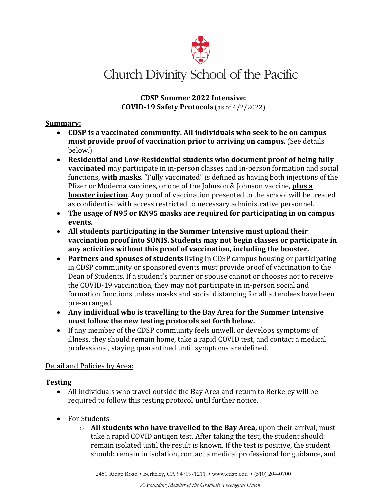

# 

**CDSP Summer 2022 Intensive: COVID-19 Safety Protocols** (as of 4/2/2022)

#### **Summary:**

- CDSP is a vaccinated community. All individuals who seek to be on campus **must provide proof of vaccination prior to arriving on campus.** (See details below.)
- Residential and Low-Residential students who document proof of being fully **vaccinated** may participate in in-person classes and in-person formation and social functions, **with masks**. "Fully vaccinated" is defined as having both injections of the Pfizer or Moderna vaccines, or one of the Johnson & Johnson vaccine, **plus a booster injection**. Any proof of vaccination presented to the school will be treated as confidential with access restricted to necessary administrative personnel.
- The usage of N95 or KN95 masks are required for participating in on campus **events.**
- All students participating in the Summer Intensive must upload their **vaccination proof into SONIS. Students may not begin classes or participate in** any activities without this proof of vaccination, including the booster.
- **Partners and spouses of students** living in CDSP campus housing or participating in CDSP community or sponsored events must provide proof of vaccination to the Dean of Students. If a student's partner or spouse cannot or chooses not to receive the COVID-19 vaccination, they may not participate in in-person social and formation functions unless masks and social distancing for all attendees have been pre-arranged.
- Any individual who is travelling to the Bay Area for the Summer Intensive must follow the new testing protocols set forth below.
- If any member of the CDSP community feels unwell, or develops symptoms of illness, they should remain home, take a rapid COVID test, and contact a medical professional, staying quarantined until symptoms are defined.

#### Detail and Policies by Area:

#### **Testing**

- All individuals who travel outside the Bay Area and return to Berkeley will be required to follow this testing protocol until further notice.
- For Students
	- $\circ$  **All students who have travelled to the Bay Area,** upon their arrival, must take a rapid COVID antigen test. After taking the test, the student should: remain isolated until the result is known. If the test is positive, the student should: remain in isolation, contact a medical professional for guidance, and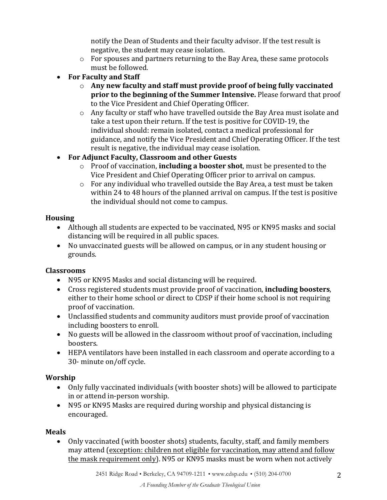notify the Dean of Students and their faculty advisor. If the test result is negative, the student may cease isolation.

- $\circ$  For spouses and partners returning to the Bay Area, these same protocols must be followed.
- For Faculty and Staff
	- o Any new faculty and staff must provide proof of being fully vaccinated **prior to the beginning of the Summer Intensive.** Please forward that proof to the Vice President and Chief Operating Officer.
	- $\circ$  Any faculty or staff who have travelled outside the Bay Area must isolate and take a test upon their return. If the test is positive for COVID-19, the individual should: remain isolated, contact a medical professional for guidance, and notify the Vice President and Chief Operating Officer. If the test result is negative, the individual may cease isolation.
- For Adjunct Faculty, Classroom and other Guests
	- $\circ$  Proof of vaccination, **including a booster shot**, must be presented to the Vice President and Chief Operating Officer prior to arrival on campus.
	- $\circ$  For any individual who travelled outside the Bay Area, a test must be taken within 24 to 48 hours of the planned arrival on campus. If the test is positive the individual should not come to campus.

# **Housing**

- Although all students are expected to be vaccinated, N95 or KN95 masks and social distancing will be required in all public spaces.
- No unvaccinated guests will be allowed on campus, or in any student housing or grounds.

# **Classrooms**

- N95 or KN95 Masks and social distancing will be required.
- Cross registered students must provide proof of vaccination, **including boosters**, either to their home school or direct to CDSP if their home school is not requiring proof of vaccination.
- Unclassified students and community auditors must provide proof of vaccination including boosters to enroll.
- No guests will be allowed in the classroom without proof of vaccination, including boosters.
- HEPA ventilators have been installed in each classroom and operate according to a 30- minute on/off cycle.

# **Worship**

- Only fully vaccinated individuals (with booster shots) will be allowed to participate in or attend in-person worship.
- N95 or KN95 Masks are required during worship and physical distancing is encouraged.

# **Meals**

• Only vaccinated (with booster shots) students, faculty, staff, and family members may attend (exception: children not eligible for vaccination, may attend and follow the mask requirement only). N95 or KN95 masks must be worn when not actively